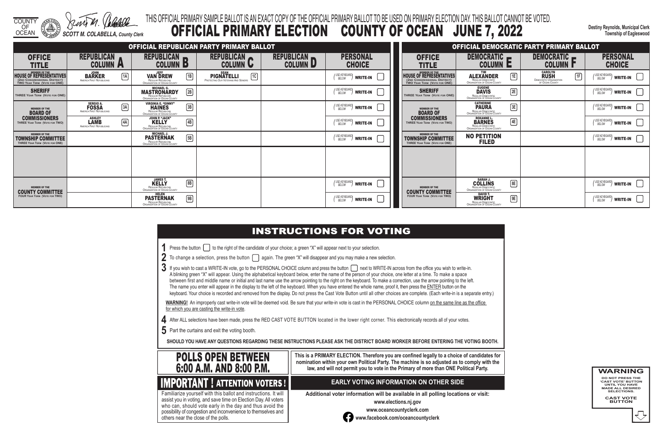COUNTY

OF OCEAN *SCOTT M. COLABELLA, County Clerk* **Destiny Reynolds, Municipal Clerk Township of Eagleswood**

- 
- 

## THIS OFFICIAL PRIMARY SAMPLE BALLOT IS AN EXACT COPY OF THE OFFICIAL PRIMARY BALLOT TO BE USED ON PRIMARY ELECTION DAY. THIS BALLOT CANNOT BE VOTED. OFFICIAL PRIMARY ELECTION COUNTY OF OCEAN JUNE 7, 2022

- **1** Press the button **the right of the candidate of your choice**; a green "X" will appear next to your selection.
- 2 To change a selection, press the button  $\Box$  again. The green "X" will disappear and you may make a new selection.
- 3 If you wish to cast a WRITE-IN vote, go to the PERSONAL CHOICE column and press the button next to WRITE-IN across from the office you wish to write-in. A blinking green "X" will appear. Using the alphabetical keyboard below, enter the name of the person of your choice, one letter at a time. To make a space between first and middle name or initial and last name use the arrow pointing to the right on the keyboard. To make a correction, use the arrow pointing to the left. The name you enter will appear in the display to the left of the keyboard. When you have entered the whole name, proof it, then press the ENTER button on the keyboard. Your choice is recorded and removed from the display. Do not press the Cast Vote Button until all other choices are complete. (Each write-in is a separate entry.)

WARNING! An improperly cast write-in vote will be deemed void. Be sure that your write-in vote is cast in the PERSONAL CHOICE column on the same line as the office for which you are casting the write-in vote.

- **4** After ALL selections have been made, press the RED CAST VOTE BUTTON located in the lower right corner. This electronically records all of your votes.
- **5** Part the curtains and exit the voting booth.

**SHOULD YOU HAVE ANY QUESTIONS REGARDING THESE INSTRUCTIONS PLEASE ASK THE DISTRICT BOARD WORKER BEFORE ENTERING THE VOTING BOOTH.**

**This is a PRIMARY ELECTION. Therefore you are confined legally to a choice of candidates for nomination within your own Political Party. The machine is so adjusted as to comply with the law, and will not permit you to vote in the Primary of more than ONE Political Party.**

 assist you in voting, and save time on Election Day. All voters Familiarize yourself with this ballot and instructions. It will who can, should vote early in the day and thus avoid the possibility of congestion and inconvenience to themselves and others near the close of the polls.

### **EARLY VOTING INFORMATION ON OTHER SIDE**

**Additional voter information will be available in all polling locations or visit:**

**www.elections.nj.gov** 



**www.oceancountyclerk.com <sup>w</sup>ww.facebook.com/oceancountyclerk** **WARNING DO NOT PRESS THE** 

**'CAST VOTE' BUTTON UNTIL YOU HAVE MADE ALL DESIRED SELECTIONS.** 

**CAST VOTE BUTTON**



**IMPORTANT ! ATTENTION VOTERS !** 

|                                                                                                        |                                                                               |                                                                                                                   | OFFICIAL REPUBLICAN PARTY PRIMARY BALLOT                                      |                               |                                                       |                                                                              |                                                                                        | OFFICIAL DEMOCRATIC PARTY PRIMARY BALLOT                                                  |                                                                         |
|--------------------------------------------------------------------------------------------------------|-------------------------------------------------------------------------------|-------------------------------------------------------------------------------------------------------------------|-------------------------------------------------------------------------------|-------------------------------|-------------------------------------------------------|------------------------------------------------------------------------------|----------------------------------------------------------------------------------------|-------------------------------------------------------------------------------------------|-------------------------------------------------------------------------|
| <b>OFFICE</b><br><b>TITLE</b>                                                                          | <b>REPUBLICAN</b><br><b>COLUMN A</b>                                          | REPUBLICAN<br><b>COLUMN B</b>                                                                                     | REPUBLICAN<br><b>COLUMN U</b>                                                 | REPUBLICAN<br><b>COLUMN D</b> | <b>PERSONAL</b><br><b>CHOICE</b>                      | <b>OFFICE</b><br><b>TITLE</b>                                                | DEMOCRATIC -<br><b>COLUMN E</b>                                                        | DEMOCRATIC -<br><b>COLUMN I</b>                                                           | <b>PERSONAL</b><br><b>CHOICE</b>                                        |
| MEMBER OF THE HOUSE OF REPRESENTATIVES<br>(2ND CONGRESSIONAL DISTRICT)<br>TWO YEAR TERM (VOTE FOR ONE) | JOHN<br>BARKER<br>AMERICA FIRST REPUBLICANS<br>1A                             | <b>VAN DREW</b><br>$\boxed{1}$<br>REGULAR REPUBLICAN<br>ORGANIZATION OF OCEAN COUNTY                              | <b>SEAN</b><br>1C<br><b>PIGNATELLI</b><br>PROTECTING OUR VETERANS AND SENIORS |                               | (USE KEYBOARD)<br>BELOW<br>write-in                   | MEMBER OF THE<br>HOUSE OF REPRESENTATIVES<br>TWO YEAR TERM (VOTE FOR ONE)    | E<br><b>ALEXANDER</b><br>REGULAR DEMOCRATIC<br>ORGANIZATION OF OCEAN COUNTY            | <b>CAROLYN</b><br><b>RUSH</b><br>1F<br><b>DEMOCRATIC ORGANIZATION<br/>OF OCEAN COUNTY</b> | $\binom{USE \t KEYBOARD}{BELOW}$ write-in                               |
| <b>SHERIFF</b><br>THREE YEAR TERM (VOTE FOR ONE)                                                       |                                                                               | <b>MASTRONARDY</b><br>2B<br>REGULAR REPUBLICAN<br>ORGANIZATION OF OCEAN COUNTY                                    |                                                                               |                               | (USE KEYBOARD)<br>BELOW<br>WRITE-IN                   | <b>SHERIFF</b><br>THREE YEAR TERM (VOTE FOR ONE)                             | EUGENE<br>DAVIS<br>REGULAR DEMOCRATIC<br>ORGANIZATION OF OCEAN COUNTY<br>2E            |                                                                                           | (USE KEYBOARD)<br>$\sqrt{2}$ write-in $\boxed{ }$                       |
| MEMBER OF THE <b>BOARD OF</b>                                                                          | SERGIO A.<br><b>FOSSA</b><br>$\boxed{3A}$<br><b>AMERICA FIRST REPUBLICANS</b> | <b>VIRGINIA E. "GINNY"</b><br>$\boxed{3B}$<br><b>HAINES</b><br>REGULAR REPUBLICAN<br>ORGANIZATION OF OCEAN COUNTY |                                                                               |                               | (USE KEYBOARD)<br>BELOW<br>write-in                   | <b>MEMBER OF THE</b><br><b>BOARD OF</b>                                      | <b>CATHERINE</b><br>$\boxed{3E}$<br>REGULAR DEMOCRATIC<br>ORGANIZATION OF OCEAN COUNTY |                                                                                           | (USE KEYBOARD)<br>BELOW<br>$\frac{1}{2}$ write-in $\ $ $\ $             |
| <b>COMMISSIONERS</b><br>THREE YEAR TERM (VOTE FOR TWO)                                                 | <b>ASHLEY</b><br><b>LAMB</b><br>4A<br>AMERICA FIRST REPUBLICANS               | JOHN P. "JACK"<br>$\boxed{4B}$<br><b>KELLY</b><br>REGULAR REPUBLICAN<br>ORGANIZATION OF OCEAN COUNTY              |                                                                               |                               | (USE KEYBOARD)<br>BELOW<br><b>WRITE-IN</b>            | <b>COMMISSIONERS</b><br>THREE YEAR TERM (VOTE FOR TWO)                       | ROXANNE L.<br>BARNES<br>4E<br>REGULAR DEMOCRATIC<br>ORGANIZATION OF OCEAN COUNTY       |                                                                                           | (USE KEYBOARD)<br>$\sqrt{ }$ write-in $\ $ $\ $                         |
| <b>MEMBER OF THE</b><br><b>TOWNSHIP COMMITTEE</b><br>THREE YEAR TERM (VOTE FOR ONE)                    |                                                                               | <b>PASTERNAK</b><br>$\boxed{5B}$<br>REGULAR REPUBLICAN<br>ORGANIZATION OF OCEAN COUNTY                            |                                                                               |                               | (USE KEYBOARD)<br>BELOW<br>WRITE-IN                   | <b>MEMBER OF THE</b><br>TOWNSHIP COMMITTEE<br>THREE YEAR TERM (VOTE FOR ONE) | <b>NO PETITION</b><br><b>FILED</b>                                                     |                                                                                           | (USE KEYBOARD)<br>$^{\prime\prime}$ write-in $\Box$                     |
|                                                                                                        |                                                                               |                                                                                                                   |                                                                               |                               |                                                       |                                                                              |                                                                                        |                                                                                           |                                                                         |
|                                                                                                        |                                                                               |                                                                                                                   |                                                                               |                               |                                                       |                                                                              |                                                                                        |                                                                                           |                                                                         |
| <b>MEMBER OF THE</b><br><b>COUNTY COMMITTEE</b>                                                        |                                                                               | <b>JAMES T.<br/>KELLY</b><br>$\boxed{8}{B}$<br>REGULAR REPUBLICAN<br>ORGANIZATION OF OCEAN COUNTY                 |                                                                               |                               | (USE KEYBOARD)<br>write-in                            | <b>MEMBER OF THE</b><br><b>COUNTY COMMITTEE</b>                              | SARAH J.<br>COLLINS<br>REGULAR DEMOCRATIC<br>ORGANIZATION OF OCEAN COUNTY<br>8E        |                                                                                           | (USE KEYBOARD)<br>$^{\nu}\!/$ write-in $\;$ $\;$ $\;$ $\;$              |
| <b>FOUR YEAR TERM (VOTE FOR TWO)</b>                                                                   |                                                                               | <b>HELEN</b><br>$\boxed{9B}$<br><b>PASTERNAK</b><br>REGULAR REPUBLICAN<br>ORGANIZATION OF OCEAN COUNTY            |                                                                               |                               | (USE KEYBOARD)<br>BELOW<br>$^{\prime\prime}$ write-in | <b>FOUR YEAR TERM (VOTE FOR TWO)</b>                                         | <b>WRIGHT</b><br>9E<br>REGULAR DEMOCRATIC<br>ORGANIZATION OF OCEAN COUNTY              |                                                                                           | (USE KEYBOARD)<br>BELOW<br>$\parallel$ write-in $\parallel$ $\parallel$ |

## **INSTRUCTIONS FOR VOTING**